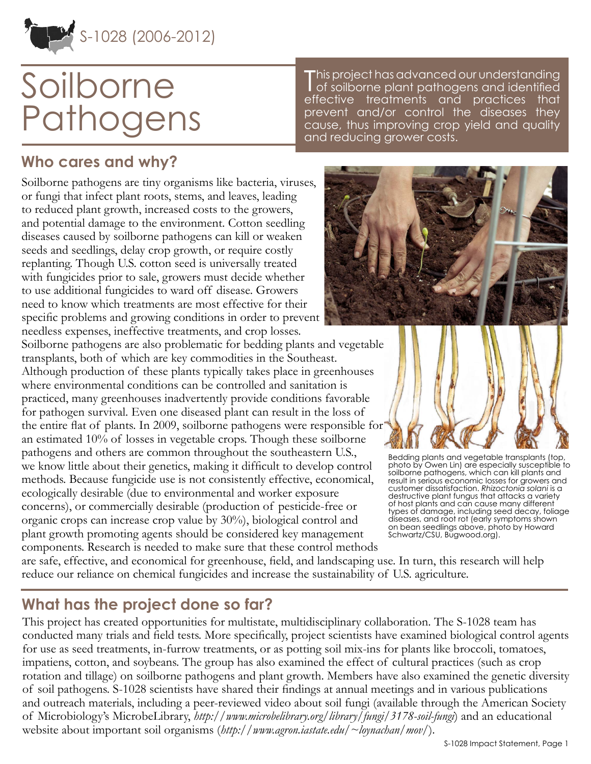

# Soilborne Pathogens

# **Who cares and why?**

Soilborne pathogens are tiny organisms like bacteria, viruses, or fungi that infect plant roots, stems, and leaves, leading to reduced plant growth, increased costs to the growers, and potential damage to the environment. Cotton seedling diseases caused by soilborne pathogens can kill or weaken seeds and seedlings, delay crop growth, or require costly replanting. Though U.S. cotton seed is universally treated with fungicides prior to sale, growers must decide whether to use additional fungicides to ward off disease. Growers need to know which treatments are most effective for their specific problems and growing conditions in order to prevent needless expenses, ineffective treatments, and crop losses.

Soilborne pathogens are also problematic for bedding plants and vegetable transplants, both of which are key commodities in the Southeast. Although production of these plants typically takes place in greenhouses where environmental conditions can be controlled and sanitation is practiced, many greenhouses inadvertently provide conditions favorable for pathogen survival. Even one diseased plant can result in the loss of the entire flat of plants. In 2009, soilborne pathogens were responsible for an estimated 10% of losses in vegetable crops. Though these soilborne pathogens and others are common throughout the southeastern U.S., we know little about their genetics, making it difficult to develop control methods. Because fungicide use is not consistently effective, economical, ecologically desirable (due to environmental and worker exposure concerns), or commercially desirable (production of pesticide-free or organic crops can increase crop value by 30%), biological control and plant growth promoting agents should be considered key management components. Research is needed to make sure that these control methods

This project has advanced our understanding<br>of soilborne plant pathogens and identified his project has advanced our understanding

effective treatments and practices that prevent and/or control the diseases they cause, thus improving crop yield and quality

and reducing grower costs.



Bedding plants and vegetable transplants (top, photo by Owen Lin) are especially susceptible to soilborne pathogens, which can kill plants and result in serious economic losses for growers and customer dissatisfaction. *Rhizoctonia solani* is a destructive plant fungus that attacks a variety of host plants and can cause many different types of damage, including seed decay, foliage diseases, and root rot (early symptoms shown on bean seedlings above, photo by Howard Schwartz/CSU, Bugwood.org).

are safe, effective, and economical for greenhouse, field, and landscaping use. In turn, this research will help reduce our reliance on chemical fungicides and increase the sustainability of U.S. agriculture.

## **What has the project done so far?**

This project has created opportunities for multistate, multidisciplinary collaboration. The S-1028 team has conducted many trials and field tests. More specifically, project scientists have examined biological control agents for use as seed treatments, in-furrow treatments, or as potting soil mix-ins for plants like broccoli, tomatoes, impatiens, cotton, and soybeans. The group has also examined the effect of cultural practices (such as crop rotation and tillage) on soilborne pathogens and plant growth. Members have also examined the genetic diversity of soil pathogens. S-1028 scientists have shared their findings at annual meetings and in various publications and outreach materials, including a peer-reviewed video about soil fungi (available through the American Society of Microbiology's MicrobeLibrary, *<http://www.microbelibrary.org/library/fungi/3178-soil-fungi>*) and an educational website about important soil organisms (*<http://www.agron.iastate.edu/~loynachan/mov/>*).